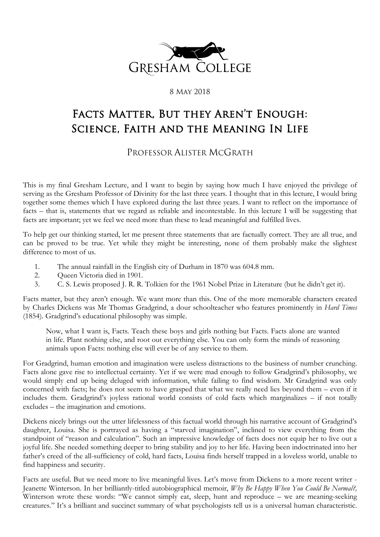

### 8 May 2018

# Facts Matter, But they Aren't Enough: Science, Faith and the Meaning In Life

## PROFESSOR ALISTER MCGRATH

This is my final Gresham Lecture, and I want to begin by saying how much I have enjoyed the privilege of serving as the Gresham Professor of Divinity for the last three years. I thought that in this lecture, I would bring together some themes which I have explored during the last three years. I want to reflect on the importance of facts – that is, statements that we regard as reliable and incontestable. In this lecture I will be suggesting that facts are important; yet we feel we need more than these to lead meaningful and fulfilled lives.

To help get our thinking started, let me present three statements that are factually correct. They are all true, and can be proved to be true. Yet while they might be interesting, none of them probably make the slightest difference to most of us.

- 1. The annual rainfall in the English city of Durham in 1870 was 604.8 mm.
- 2. Queen Victoria died in 1901.
- 3. C. S. Lewis proposed J. R. R. Tolkien for the 1961 Nobel Prize in Literature (but he didn't get it).

Facts matter, but they aren't enough. We want more than this. One of the more memorable characters created by Charles Dickens was Mr Thomas Gradgrind, a dour schoolteacher who features prominently in *Hard Times* (1854). Gradgrind's educational philosophy was simple.

Now, what I want is, Facts. Teach these boys and girls nothing but Facts. Facts alone are wanted in life. Plant nothing else, and root out everything else. You can only form the minds of reasoning animals upon Facts: nothing else will ever be of any service to them.

For Gradgrind, human emotion and imagination were useless distractions to the business of number crunching. Facts alone gave rise to intellectual certainty. Yet if we were mad enough to follow Gradgrind's philosophy, we would simply end up being deluged with information, while failing to find wisdom. Mr Gradgrind was only concerned with facts; he does not seem to have grasped that what we really need lies beyond them – even if it includes them. Gradgrind's joyless rational world consists of cold facts which marginalizes – if not totally excludes – the imagination and emotions.

Dickens nicely brings out the utter lifelessness of this factual world through his narrative account of Gradgrind's daughter, Louisa. She is portrayed as having a "starved imagination", inclined to view everything from the standpoint of "reason and calculation". Such an impressive knowledge of facts does not equip her to live out a joyful life. She needed something deeper to bring stability and joy to her life. Having been indoctrinated into her father's creed of the all-sufficiency of cold, hard facts, Louisa finds herself trapped in a loveless world, unable to find happiness and security.

Facts are useful. But we need more to live meaningful lives. Let's move from Dickens to a more recent writer - Jeanette Winterson. In her brilliantly-titled autobiographical memoir, *Why Be Happy When You Could Be Normal?,* Winterson wrote these words: "We cannot simply eat, sleep, hunt and reproduce – we are meaning-seeking creatures." It's a brilliant and succinct summary of what psychologists tell us is a universal human characteristic.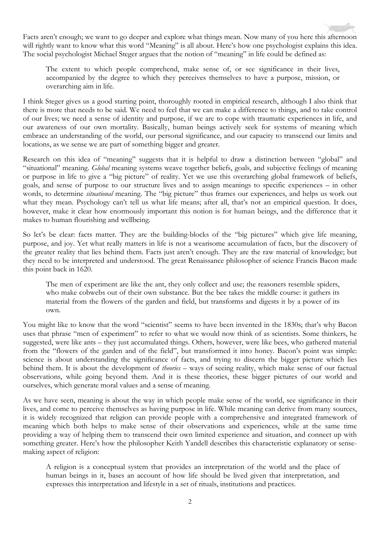Facts aren't enough; we want to go deeper and explore what things mean. Now many of you here this afternoon will rightly want to know what this word "Meaning" is all about. Here's how one psychologist explains this idea. The social psychologist Michael Steger argues that the notion of "meaning" in life could be defined as:

The extent to which people comprehend, make sense of, or see significance in their lives, accompanied by the degree to which they perceives themselves to have a purpose, mission, or overarching aim in life.

I think Steger gives us a good starting point, thoroughly rooted in empirical research, although I also think that there is more that needs to be said. We need to feel that we can make a difference to things, and to take control of our lives; we need a sense of identity and purpose, if we are to cope with traumatic experiences in life, and our awareness of our own mortality. Basically, human beings actively seek for systems of meaning which embrace an understanding of the world, our personal significance, and our capacity to transcend our limits and locations, as we sense we are part of something bigger and greater.

Research on this idea of "meaning" suggests that it is helpful to draw a distinction between "global" and "situational" meaning. *Global* meaning systems weave together beliefs, goals, and subjective feelings of meaning or purpose in life to give a "big picture" of reality. Yet we use this overarching global framework of beliefs, goals, and sense of purpose to our structure lives and to assign meanings to specific experiences – in other words, to determine *situational* meaning. The "big picture" thus frames our experiences, and helps us work out what they mean. Psychology can't tell us what life means; after all, that's not an empirical question. It does, however, make it clear how enormously important this notion is for human beings, and the difference that it makes to human flourishing and wellbeing.

So let's be clear: facts matter. They are the building-blocks of the "big pictures" which give life meaning, purpose, and joy. Yet what really matters in life is not a wearisome accumulation of facts, but the discovery of the greater reality that lies behind them. Facts just aren't enough. They are the raw material of knowledge; but they need to be interpreted and understood. The great Renaissance philosopher of science Francis Bacon made this point back in 1620.

The men of experiment are like the ant, they only collect and use; the reasoners resemble spiders, who make cobwebs out of their own substance. But the bee takes the middle course: it gathers its material from the flowers of the garden and field, but transforms and digests it by a power of its own.

You might like to know that the word "scientist" seems to have been invented in the 1830s; that's why Bacon uses that phrase "men of experiment" to refer to what we would now think of as scientists. Some thinkers, he suggested, were like ants – they just accumulated things. Others, however, were like bees, who gathered material from the "flowers of the garden and of the field", but transformed it into honey. Bacon's point was simple: science is about understanding the significance of facts, and trying to discern the bigger picture which lies behind them. It is about the development of *theories* – ways of seeing reality, which make sense of our factual observations, while going beyond them. And it is these theories, these bigger pictures of our world and ourselves, which generate moral values and a sense of meaning.

As we have seen, meaning is about the way in which people make sense of the world, see significance in their lives, and come to perceive themselves as having purpose in life. While meaning can derive from many sources, it is widely recognized that religion can provide people with a comprehensive and integrated framework of meaning which both helps to make sense of their observations and experiences, while at the same time providing a way of helping them to transcend their own limited experience and situation, and connect up with something greater. Here's how the philosopher Keith Yandell describes this characteristic explanatory or sensemaking aspect of religion:

A religion is a conceptual system that provides an interpretation of the world and the place of human beings in it, bases an account of how life should be lived given that interpretation, and expresses this interpretation and lifestyle in a set of rituals, institutions and practices.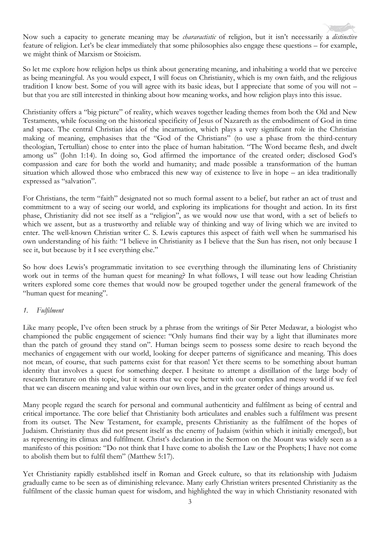Now such a capacity to generate meaning may be *chararactistic* of religion, but it isn't necessarily a *distinctive*  feature of religion. Let's be clear immediately that some philosophies also engage these questions – for example, we might think of Marxism or Stoicism.

So let me explore how religion helps us think about generating meaning, and inhabiting a world that we perceive as being meaningful. As you would expect, I will focus on Christianity, which is my own faith, and the religious tradition I know best. Some of you will agree with its basic ideas, but I appreciate that some of you will not – but that you are still interested in thinking about how meaning works, and how religion plays into this issue.

Christianity offers a "big picture" of reality, which weaves together leading themes from both the Old and New Testaments, while focussing on the historical specificity of Jesus of Nazareth as the embodiment of God in time and space. The central Christian idea of the incarnation, which plays a very significant role in the Christian making of meaning, emphasises that the "God of the Christians" (to use a phase from the third-century theologian, Tertullian) chose to enter into the place of human habitation. "The Word became flesh, and dwelt among us" (John 1:14). In doing so, God affirmed the importance of the created order; disclosed God's compassion and care for both the world and humanity; and made possible a transformation of the human situation which allowed those who embraced this new way of existence to live in hope – an idea traditionally expressed as "salvation".

For Christians, the term "faith" designated not so much formal assent to a belief, but rather an act of trust and commitment to a way of seeing our world, and exploring its implications for thought and action. In its first phase, Christianity did not see itself as a "religion", as we would now use that word, with a set of beliefs to which we assent, but as a trustworthy and reliable way of thinking and way of living which we are invited to enter. The well-known Christian writer C. S. Lewis captures this aspect of faith well when he summarised his own understanding of his faith: "I believe in Christianity as I believe that the Sun has risen, not only because I see it, but because by it I see everything else."

So how does Lewis's programmatic invitation to see everything through the illuminating lens of Christianity work out in terms of the human quest for meaning? In what follows, I will tease out how leading Christian writers explored some core themes that would now be grouped together under the general framework of the "human quest for meaning".

#### *1. Fulfilment*

Like many people, I've often been struck by a phrase from the writings of Sir Peter Medawar, a biologist who championed the public engagement of science: "Only humans find their way by a light that illuminates more than the patch of ground they stand on". Human beings seem to possess some desire to reach beyond the mechanics of engagement with our world, looking for deeper patterns of significance and meaning. This does not mean, of course, that such patterns exist for that reason! Yet there seems to be something about human identity that involves a quest for something deeper. I hesitate to attempt a distillation of the large body of research literature on this topic, but it seems that we cope better with our complex and messy world if we feel that we can discern meaning and value within our own lives, and in the greater order of things around us.

Many people regard the search for personal and communal authenticity and fulfilment as being of central and critical importance. The core belief that Christianity both articulates and enables such a fulfilment was present from its outset. The New Testament, for example, presents Christianity as the fulfilment of the hopes of Judaism. Christianity thus did not present itself as the enemy of Judaism (within which it initially emerged), but as representing its climax and fulfilment. Christ's declaration in the Sermon on the Mount was widely seen as a manifesto of this position: "Do not think that I have come to abolish the Law or the Prophets; I have not come to abolish them but to fulfil them" (Matthew 5:17).

Yet Christianity rapidly established itself in Roman and Greek culture, so that its relationship with Judaism gradually came to be seen as of diminishing relevance. Many early Christian writers presented Christianity as the fulfilment of the classic human quest for wisdom, and highlighted the way in which Christianity resonated with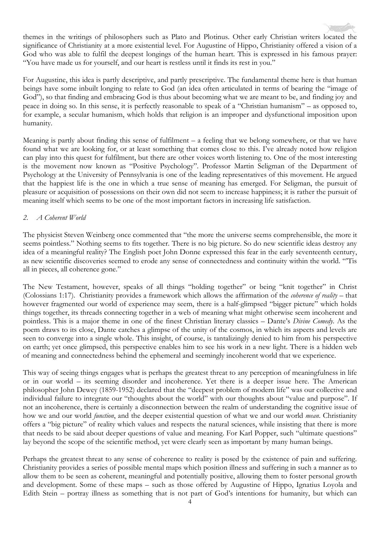themes in the writings of philosophers such as Plato and Plotinus. Other early Christian writers located the significance of Christianity at a more existential level. For Augustine of Hippo, Christianity offered a vision of a God who was able to fulfil the deepest longings of the human heart. This is expressed in his famous prayer: "You have made us for yourself, and our heart is restless until it finds its rest in you."

For Augustine, this idea is partly descriptive, and partly prescriptive. The fundamental theme here is that human beings have some inbuilt longing to relate to God (an idea often articulated in terms of bearing the "image of God"), so that finding and embracing God is thus about becoming what we are meant to be, and finding joy and peace in doing so. In this sense, it is perfectly reasonable to speak of a "Christian humanism" – as opposed to, for example, a secular humanism, which holds that religion is an improper and dysfunctional imposition upon humanity.

Meaning is partly about finding this sense of fulfilment – a feeling that we belong somewhere, or that we have found what we are looking for, or at least something that comes close to this. I've already noted how religion can play into this quest for fulfilment, but there are other voices worth listening to. One of the most interesting is the movement now known as "Positive Psychology". Professor Martin Seligman of the Department of Psychology at the University of Pennsylvania is one of the leading representatives of this movement. He argued that the happiest life is the one in which a true sense of meaning has emerged. For Seligman, the pursuit of pleasure or acquisition of possessions on their own did not seem to increase happiness; it is rather the pursuit of meaning itself which seems to be one of the most important factors in increasing life satisfaction.

#### *2. A Coherent World*

The physicist Steven Weinberg once commented that "the more the universe seems comprehensible, the more it seems pointless." Nothing seems to fits together. There is no big picture. So do new scientific ideas destroy any idea of a meaningful reality? The English poet John Donne expressed this fear in the early seventeenth century, as new scientific discoveries seemed to erode any sense of connectedness and continuity within the world. "'Tis all in pieces, all coherence gone."

The New Testament, however, speaks of all things "holding together" or being "knit together" in Christ (Colossians 1:17). Christianity provides a framework which allows the affirmation of the *coherence of reality* – that however fragmented our world of experience may seem, there is a half-glimpsed "bigger picture" which holds things together, its threads connecting together in a web of meaning what might otherwise seem incoherent and pointless. This is a major theme in one of the finest Christian literary classics – Dante's *Divine Comedy*. As the poem draws to its close, Dante catches a glimpse of the unity of the cosmos, in which its aspects and levels are seen to converge into a single whole. This insight, of course, is tantalizingly denied to him from his perspective on earth; yet once glimpsed, this perspective enables him to see his work in a new light. There is a hidden web of meaning and connectedness behind the ephemeral and seemingly incoherent world that we experience.

This way of seeing things engages what is perhaps the greatest threat to any perception of meaningfulness in life or in our world – its seeming disorder and incoherence. Yet there is a deeper issue here. The American philosopher John Dewey (1859-1952) declared that the "deepest problem of modern life" was our collective and individual failure to integrate our "thoughts about the world" with our thoughts about "value and purpose". If not an incoherence, there is certainly a disconnection between the realm of understanding the cognitive issue of how we and our world *function*, and the deeper existential question of what we and our world *mean*. Christianity offers a "big picture" of reality which values and respects the natural sciences, while insisting that there is more that needs to be said about deeper questions of value and meaning. For Karl Popper, such "ultimate questions" lay beyond the scope of the scientific method, yet were clearly seen as important by many human beings.

Perhaps the greatest threat to any sense of coherence to reality is posed by the existence of pain and suffering. Christianity provides a series of possible mental maps which position illness and suffering in such a manner as to allow them to be seen as coherent, meaningful and potentially positive, allowing them to foster personal growth and development. Some of these maps – such as those offered by Augustine of Hippo, Ignatius Loyola and Edith Stein – portray illness as something that is not part of God's intentions for humanity, but which can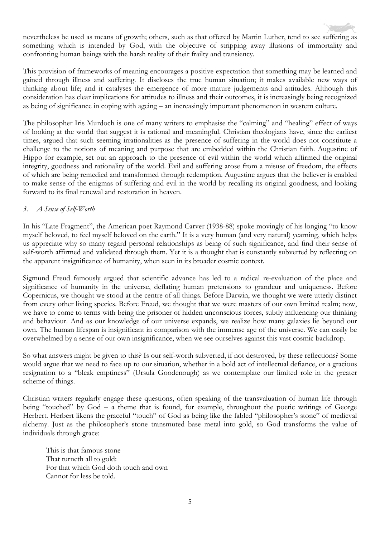nevertheless be used as means of growth; others, such as that offered by Martin Luther, tend to see suffering as something which is intended by God, with the objective of stripping away illusions of immortality and confronting human beings with the harsh reality of their frailty and transiency.

This provision of frameworks of meaning encourages a positive expectation that something may be learned and gained through illness and suffering. It discloses the true human situation; it makes available new ways of thinking about life; and it catalyses the emergence of more mature judgements and attitudes. Although this consideration has clear implications for attitudes to illness and their outcomes, it is increasingly being recognized as being of significance in coping with ageing – an increasingly important phenomenon in western culture.

The philosopher Iris Murdoch is one of many writers to emphasise the "calming" and "healing" effect of ways of looking at the world that suggest it is rational and meaningful. Christian theologians have, since the earliest times, argued that such seeming irrationalities as the presence of suffering in the world does not constitute a challenge to the notions of meaning and purpose that are embedded within the Christian faith. Augustine of Hippo for example, set out an approach to the presence of evil within the world which affirmed the original integrity, goodness and rationality of the world. Evil and suffering arose from a misuse of freedom, the effects of which are being remedied and transformed through redemption. Augustine argues that the believer is enabled to make sense of the enigmas of suffering and evil in the world by recalling its original goodness, and looking forward to its final renewal and restoration in heaven.

#### *3. A Sense of Self-Worth*

In his "Late Fragment", the American poet Raymond Carver (1938-88) spoke movingly of his longing "to know myself beloved, to feel myself beloved on the earth." It is a very human (and very natural) yearning, which helps us appreciate why so many regard personal relationships as being of such significance, and find their sense of self-worth affirmed and validated through them. Yet it is a thought that is constantly subverted by reflecting on the apparent insignificance of humanity, when seen in its broader cosmic context.

Sigmund Freud famously argued that scientific advance has led to a radical re-evaluation of the place and significance of humanity in the universe, deflating human pretensions to grandeur and uniqueness. Before Copernicus, we thought we stood at the centre of all things. Before Darwin, we thought we were utterly distinct from every other living species. Before Freud, we thought that we were masters of our own limited realm; now, we have to come to terms with being the prisoner of hidden unconscious forces, subtly influencing our thinking and behaviour. And as our knowledge of our universe expands, we realize how many galaxies lie beyond our own. The human lifespan is insignificant in comparison with the immense age of the universe. We can easily be overwhelmed by a sense of our own insignificance, when we see ourselves against this vast cosmic backdrop.

So what answers might be given to this? Is our self-worth subverted, if not destroyed, by these reflections? Some would argue that we need to face up to our situation, whether in a bold act of intellectual defiance, or a gracious resignation to a "bleak emptiness" (Ursula Goodenough) as we contemplate our limited role in the greater scheme of things.

Christian writers regularly engage these questions, often speaking of the transvaluation of human life through being "touched" by God – a theme that is found, for example, throughout the poetic writings of George Herbert. Herbert likens the graceful "touch" of God as being like the fabled "philosopher's stone" of medieval alchemy. Just as the philosopher's stone transmuted base metal into gold, so God transforms the value of individuals through grace:

This is that famous stone That turneth all to gold: For that which God doth touch and own Cannot for less be told.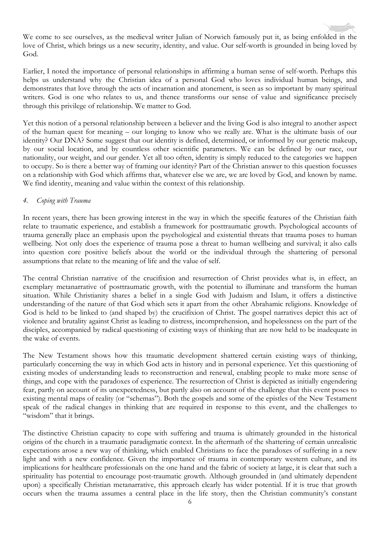We come to see ourselves, as the medieval writer Julian of Norwich famously put it, as being enfolded in the love of Christ, which brings us a new security, identity, and value. Our self-worth is grounded in being loved by God.

Earlier, I noted the importance of personal relationships in affirming a human sense of self-worth. Perhaps this helps us understand why the Christian idea of a personal God who loves individual human beings, and demonstrates that love through the acts of incarnation and atonement, is seen as so important by many spiritual writers. God is one who relates to us, and thence transforms our sense of value and significance precisely through this privilege of relationship. We matter to God.

Yet this notion of a personal relationship between a believer and the living God is also integral to another aspect of the human quest for meaning – our longing to know who we really are. What is the ultimate basis of our identity? Our DNA? Some suggest that our identity is defined, determined, or informed by our genetic makeup, by our social location, and by countless other scientific parameters. We can be defined by our race, our nationality, our weight, and our gender. Yet all too often, identity is simply reduced to the categories we happen to occupy. So is there a better way of framing our identity? Part of the Christian answer to this question focusses on a relationship with God which affirms that, whatever else we are, we are loved by God, and known by name. We find identity, meaning and value within the context of this relationship.

#### *4. Coping with Trauma*

In recent years, there has been growing interest in the way in which the specific features of the Christian faith relate to traumatic experience, and establish a framework for posttraumatic growth. Psychological accounts of trauma generally place an emphasis upon the psychological and existential threats that trauma poses to human wellbeing. Not only does the experience of trauma pose a threat to human wellbeing and survival; it also calls into question core positive beliefs about the world or the individual through the shattering of personal assumptions that relate to the meaning of life and the value of self.

The central Christian narrative of the crucifixion and resurrection of Christ provides what is, in effect, an exemplary metanarrative of posttraumatic growth, with the potential to illuminate and transform the human situation. While Christianity shares a belief in a single God with Judaism and Islam, it offers a distinctive understanding of the nature of that God which sets it apart from the other Abrahamic religions. Knowledge of God is held to be linked to (and shaped by) the crucifixion of Christ. The gospel narratives depict this act of violence and brutality against Christ as leading to distress, incomprehension, and hopelessness on the part of the disciples, accompanied by radical questioning of existing ways of thinking that are now held to be inadequate in the wake of events.

The New Testament shows how this traumatic development shattered certain existing ways of thinking, particularly concerning the way in which God acts in history and in personal experience. Yet this questioning of existing modes of understanding leads to reconstruction and renewal, enabling people to make more sense of things, and cope with the paradoxes of experience. The resurrection of Christ is depicted as initially engendering fear, partly on account of its unexpectedness, but partly also on account of the challenge that this event poses to existing mental maps of reality (or "schemas"). Both the gospels and some of the epistles of the New Testament speak of the radical changes in thinking that are required in response to this event, and the challenges to "wisdom" that it brings.

The distinctive Christian capacity to cope with suffering and trauma is ultimately grounded in the historical origins of the church in a traumatic paradigmatic context. In the aftermath of the shattering of certain unrealistic expectations arose a new way of thinking, which enabled Christians to face the paradoxes of suffering in a new light and with a new confidence. Given the importance of trauma in contemporary western culture, and its implications for healthcare professionals on the one hand and the fabric of society at large, it is clear that such a spirituality has potential to encourage post-traumatic growth. Although grounded in (and ultimately dependent upon) a specifically Christian metanarrative, this approach clearly has wider potential. If it is true that growth occurs when the trauma assumes a central place in the life story, then the Christian community's constant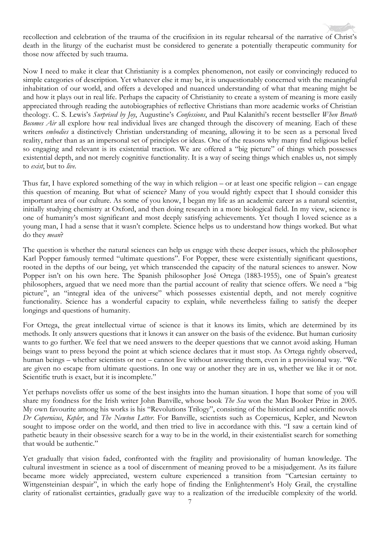

recollection and celebration of the trauma of the crucifixion in its regular rehearsal of the narrative of Christ's death in the liturgy of the eucharist must be considered to generate a potentially therapeutic community for those now affected by such trauma.

Now I need to make it clear that Christianity is a complex phenomenon, not easily or convincingly reduced to simple categories of description. Yet whatever else it may be, it is unquestionably concerned with the meaningful inhabitation of our world, and offers a developed and nuanced understanding of what that meaning might be and how it plays out in real life. Perhaps the capacity of Christianity to create a system of meaning is more easily appreciated through reading the autobiographies of reflective Christians than more academic works of Christian theology. C. S. Lewis's *Surprised by Joy*, Augustine's *Confessions*, and Paul Kalanithi's recent bestseller *When Breath Becomes Air* all explore how real individual lives are changed through the discovery of meaning. Each of these writers *embodies* a distinctively Christian understanding of meaning, allowing it to be seen as a personal lived reality, rather than as an impersonal set of principles or ideas. One of the reasons why many find religious belief so engaging and relevant is its existential traction. We are offered a "big picture" of things which possesses existential depth, and not merely cognitive functionality. It is a way of seeing things which enables us, not simply to *exist*, but to *live*.

Thus far, I have explored something of the way in which religion – or at least one specific religion – can engage this question of meaning. But what of science? Many of you would rightly expect that I should consider this important area of our culture. As some of you know, I began my life as an academic career as a natural scientist, initially studying chemistry at Oxford, and then doing research in a more biological field. In my view, science is one of humanity's most significant and most deeply satisfying achievements. Yet though I loved science as a young man, I had a sense that it wasn't complete. Science helps us to understand how things worked. But what do they *mean*?

The question is whether the natural sciences can help us engage with these deeper issues, which the philosopher Karl Popper famously termed "ultimate questions". For Popper, these were existentially significant questions, rooted in the depths of our being, yet which transcended the capacity of the natural sciences to answer. Now Popper isn't on his own here. The Spanish philosopher José Ortega (1883-1955), one of Spain's greatest philosophers, argued that we need more than the partial account of reality that science offers. We need a "big picture", an "integral idea of the universe" which possesses existential depth, and not merely cognitive functionality. Science has a wonderful capacity to explain, while nevertheless failing to satisfy the deeper longings and questions of humanity.

For Ortega, the great intellectual virtue of science is that it knows its limits, which are determined by its methods. It only answers questions that it knows it can answer on the basis of the evidence. But human curiosity wants to go further. We feel that we need answers to the deeper questions that we cannot avoid asking. Human beings want to press beyond the point at which science declares that it must stop. As Ortega rightly observed, human beings – whether scientists or not – cannot live without answering them, even in a provisional way. "We are given no escape from ultimate questions. In one way or another they are in us, whether we like it or not. Scientific truth is exact, but it is incomplete."

Yet perhaps novelists offer us some of the best insights into the human situation. I hope that some of you will share my fondness for the Irish writer John Banville, whose book *The Sea* won the Man Booker Prize in 2005. My own favourite among his works is his "Revolutions Trilogy", consisting of the historical and scientific novels *Dr Copernicus*, *Kepler*, and *The Newton Letter*. For Banville, scientists such as Copernicus, Kepler, and Newton sought to impose order on the world, and then tried to live in accordance with this. "I saw a certain kind of pathetic beauty in their obsessive search for a way to be in the world, in their existentialist search for something that would be authentic."

Yet gradually that vision faded, confronted with the fragility and provisionality of human knowledge. The cultural investment in science as a tool of discernment of meaning proved to be a misjudgement. As its failure became more widely appreciated, western culture experienced a transition from "Cartesian certainty to Wittgensteinian despair", in which the early hope of finding the Enlightenment's Holy Grail, the crystalline clarity of rationalist certainties, gradually gave way to a realization of the irreducible complexity of the world.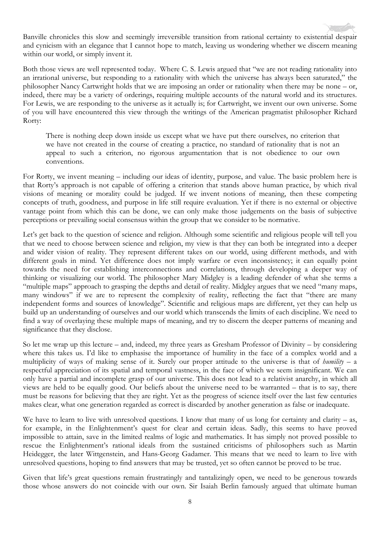Banville chronicles this slow and seemingly irreversible transition from rational certainty to existential despair and cynicism with an elegance that I cannot hope to match, leaving us wondering whether we discern meaning within our world, or simply invent it.

Both those views are well represented today. Where C. S. Lewis argued that "we are not reading rationality into an irrational universe, but responding to a rationality with which the universe has always been saturated," the philosopher Nancy Cartwright holds that we are imposing an order or rationality when there may be none – or, indeed, there may be a variety of orderings, requiring multiple accounts of the natural world and its structures. For Lewis, we are responding to the universe as it actually is; for Cartwright, we invent our own universe. Some of you will have encountered this view through the writings of the American pragmatist philosopher Richard Rorty:

There is nothing deep down inside us except what we have put there ourselves, no criterion that we have not created in the course of creating a practice, no standard of rationality that is not an appeal to such a criterion, no rigorous argumentation that is not obedience to our own conventions.

For Rorty, we invent meaning – including our ideas of identity, purpose, and value. The basic problem here is that Rorty's approach is not capable of offering a criterion that stands above human practice, by which rival visions of meaning or morality could be judged. If we invent notions of meaning, then these competing concepts of truth, goodness, and purpose in life still require evaluation. Yet if there is no external or objective vantage point from which this can be done, we can only make those judgements on the basis of subjective perceptions or prevailing social consensus within the group that we consider to be normative.

Let's get back to the question of science and religion. Although some scientific and religious people will tell you that we need to choose between science and religion, my view is that they can both be integrated into a deeper and wider vision of reality. They represent different takes on our world, using different methods, and with different goals in mind. Yet difference does not imply warfare or even inconsistency; it can equally point towards the need for establishing interconnections and correlations, through developing a deeper way of thinking or visualizing our world. The philosopher Mary Midgley is a leading defender of what she terms a "multiple maps" approach to grasping the depths and detail of reality. Midgley argues that we need "many maps, many windows" if we are to represent the complexity of reality, reflecting the fact that "there are many independent forms and sources of knowledge". Scientific and religious maps are different, yet they can help us build up an understanding of ourselves and our world which transcends the limits of each discipline. We need to find a way of overlaying these multiple maps of meaning, and try to discern the deeper patterns of meaning and significance that they disclose.

So let me wrap up this lecture – and, indeed, my three years as Gresham Professor of Divinity – by considering where this takes us. I'd like to emphasise the importance of humility in the face of a complex world and a multiplicity of ways of making sense of it. Surely our proper attitude to the universe is that of *humility* – a respectful appreciation of its spatial and temporal vastness, in the face of which we seem insignificant. We can only have a partial and incomplete grasp of our universe. This does not lead to a relativist anarchy, in which all views are held to be equally good. Our beliefs about the universe need to be warranted – that is to say, there must be reasons for believing that they are right. Yet as the progress of science itself over the last few centuries makes clear, what one generation regarded as correct is discarded by another generation as false or inadequate.

We have to learn to live with unresolved questions. I know that many of us long for certainty and clarity – as, for example, in the Enlightenment's quest for clear and certain ideas. Sadly, this seems to have proved impossible to attain, save in the limited realms of logic and mathematics. It has simply not proved possible to rescue the Enlightenment's rational ideals from the sustained criticisms of philosophers such as Martin Heidegger, the later Wittgenstein, and Hans-Georg Gadamer. This means that we need to learn to live with unresolved questions, hoping to find answers that may be trusted, yet so often cannot be proved to be true.

Given that life's great questions remain frustratingly and tantalizingly open, we need to be generous towards those whose answers do not coincide with our own. Sir Isaiah Berlin famously argued that ultimate human